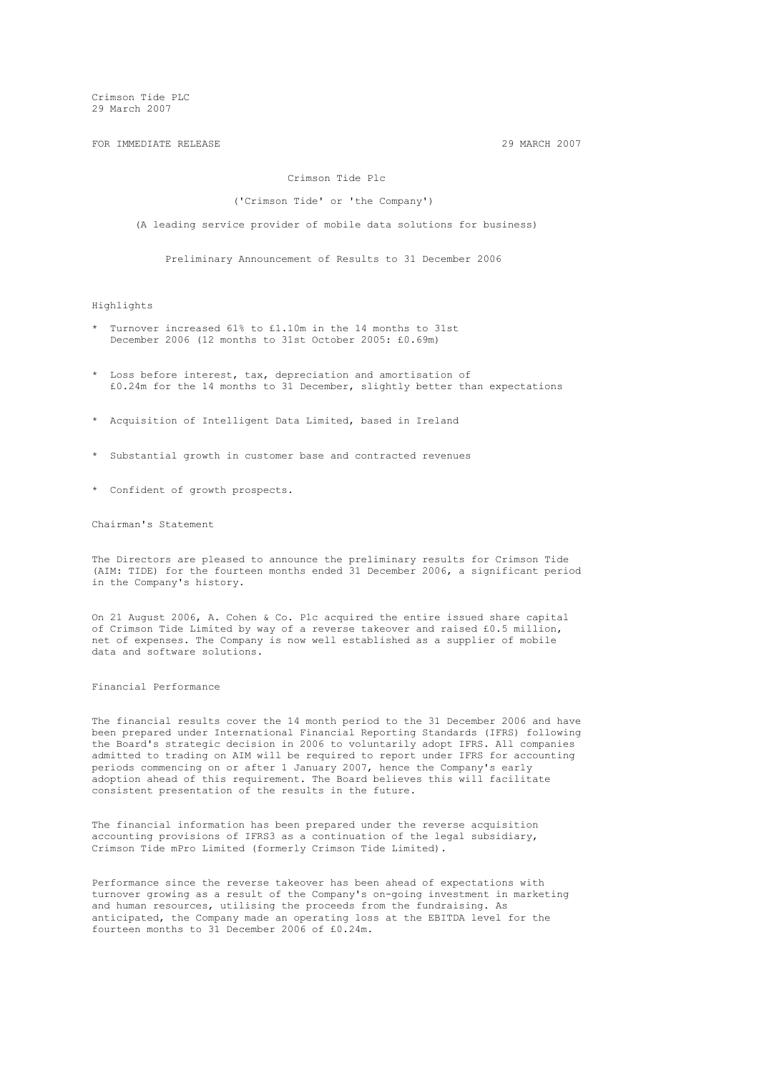FOR IMMEDIATE RELEASE 2007 29 MARCH 2007

## Crimson Tide Plc

#### ('Crimson Tide' or 'the Company')

(A leading service provider of mobile data solutions for business)

Preliminary Announcement of Results to 31 December 2006

#### Highlights

- \* Turnover increased 61% to £1.10m in the 14 months to 31st December 2006 (12 months to 31st October 2005: £0.69m)
- \* Loss before interest, tax, depreciation and amortisation of £0.24m for the 14 months to 31 December, slightly better than expectations
- \* Acquisition of Intelligent Data Limited, based in Ireland
- \* Substantial growth in customer base and contracted revenues
- \* Confident of growth prospects.

Chairman's Statement

The Directors are pleased to announce the preliminary results for Crimson Tide (AIM: TIDE) for the fourteen months ended 31 December 2006, a significant period in the Company's history.

On 21 August 2006, A. Cohen & Co. Plc acquired the entire issued share capital of Crimson Tide Limited by way of a reverse takeover and raised £0.5 million, net of expenses. The Company is now well established as a supplier of mobile data and software solutions.

## Financial Performance

The financial results cover the 14 month period to the 31 December 2006 and have been prepared under International Financial Reporting Standards (IFRS) following the Board's strategic decision in 2006 to voluntarily adopt IFRS. All companies admitted to trading on AIM will be required to report under IFRS for accounting periods commencing on or after 1 January 2007, hence the Company's early adoption ahead of this requirement. The Board believes this will facilitate consistent presentation of the results in the future.

The financial information has been prepared under the reverse acquisition accounting provisions of IFRS3 as a continuation of the legal subsidiary, Crimson Tide mPro Limited (formerly Crimson Tide Limited).

Performance since the reverse takeover has been ahead of expectations with turnover growing as a result of the Company's on-going investment in marketing and human resources, utilising the proceeds from the fundraising. As anticipated, the Company made an operating loss at the EBITDA level for the fourteen months to 31 December 2006 of £0.24m.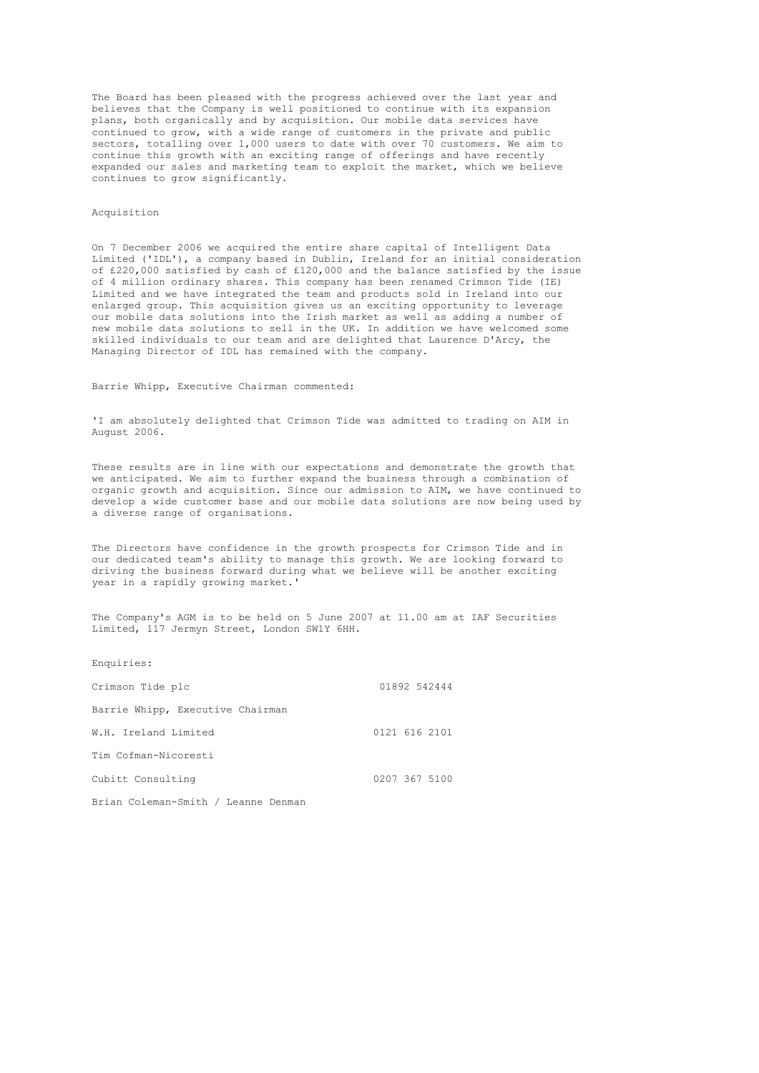The Board has been pleased with the progress achieved over the last year and believes that the Company is well positioned to continue with its expansion plans, both organically and by acquisition. Our mobile data services have continued to grow, with a wide range of customers in the private and public sectors, totalling over 1,000 users to date with over 70 customers. We aim to continue this growth with an exciting range of offerings and have recently expanded our sales and marketing team to exploit the market, which we believe continues to grow significantly.

#### Acquisition

On 7 December 2006 we acquired the entire share capital of Intelligent Data Limited ('IDL'), a company based in Dublin, Ireland for an initial consideration of £220,000 satisfied by cash of £120,000 and the balance satisfied by the issue of 4 million ordinary shares. This company has been renamed Crimson Tide (IE) Limited and we have integrated the team and products sold in Ireland into our enlarged group. This acquisition gives us an exciting opportunity to leverage our mobile data solutions into the Irish market as well as adding a number of new mobile data solutions to sell in the UK. In addition we have welcomed some skilled individuals to our team and are delighted that Laurence D'Arcy, the Managing Director of IDL has remained with the company.

Barrie Whipp, Executive Chairman commented:

'I am absolutely delighted that Crimson Tide was admitted to trading on AIM in August 2006.

These results are in line with our expectations and demonstrate the growth that we anticipated. We aim to further expand the business through a combination of organic growth and acquisition. Since our admission to AIM, we have continued to develop a wide customer base and our mobile data solutions are now being used by a diverse range of organisations.

The Directors have confidence in the growth prospects for Crimson Tide and in our dedicated team's ability to manage this growth. We are looking forward to driving the business forward during what we believe will be another exciting year in a rapidly growing market.'

The Company's AGM is to be held on 5 June 2007 at 11.00 am at IAF Securities Limited, 117 Jermyn Street, London SW1Y 6HH.

| Enquiries:                          |               |
|-------------------------------------|---------------|
| Crimson Tide plc                    | 01892 542444  |
| Barrie Whipp, Executive Chairman    |               |
| W.H. Ireland Limited                | 0121 616 2101 |
| Tim Cofman-Nicoresti                |               |
| Cubitt Consulting                   | 0207 367 5100 |
| Brian Coleman-Smith / Leanne Denman |               |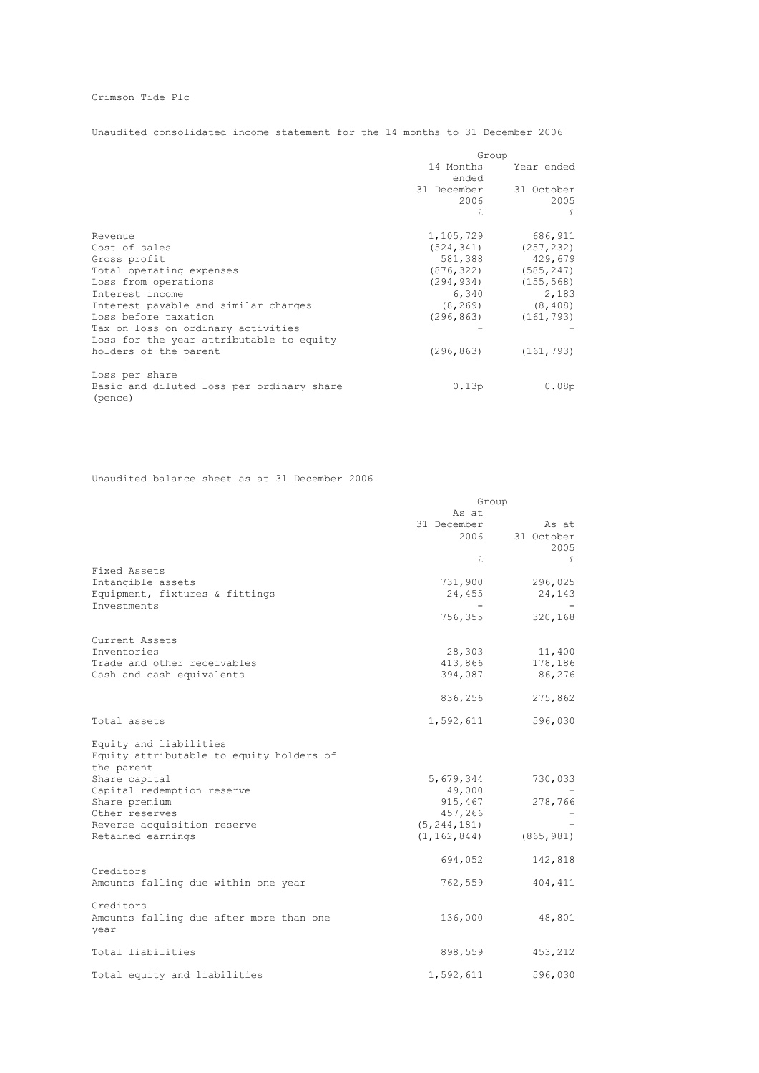# Crimson Tide Plc

Unaudited consolidated income statement for the 14 months to 31 December 2006

|                                                      | Group       |                |  |
|------------------------------------------------------|-------------|----------------|--|
|                                                      | 14 Months   | Year ended     |  |
|                                                      | ended       |                |  |
|                                                      | 31 December | 31 October     |  |
|                                                      | 2006        | 2005           |  |
|                                                      | £.          | $\mathbf{f}$ . |  |
| Revenue                                              | 1,105,729   | 686,911        |  |
| Cost of sales                                        | (524, 341)  | (257, 232)     |  |
| Gross profit                                         | 581,388     | 429,679        |  |
| Total operating expenses                             | (876, 322)  | (585, 247)     |  |
| Loss from operations                                 | (294, 934)  | (155, 568)     |  |
| Interest income                                      | 6,340       | 2,183          |  |
| Interest payable and similar charges                 | (8, 269)    | (8, 408)       |  |
| Loss before taxation                                 | (296, 863)  | (161, 793)     |  |
| Tax on loss on ordinary activities                   |             |                |  |
| Loss for the year attributable to equity             |             |                |  |
| holders of the parent                                | (296, 863)  | (161, 793)     |  |
| Loss per share                                       |             |                |  |
| Basic and diluted loss per ordinary share<br>(pence) | 0.13p       | 0.08p          |  |
|                                                      |             |                |  |

# Unaudited balance sheet as at 31 December 2006

|                                                 | Group         |            |  |  |
|-------------------------------------------------|---------------|------------|--|--|
|                                                 | As at         |            |  |  |
|                                                 | 31 December   | As at      |  |  |
|                                                 | 2006          | 31 October |  |  |
|                                                 |               | 2005       |  |  |
|                                                 | £             | £          |  |  |
| Fixed Assets                                    |               |            |  |  |
| Intangible assets                               | 731,900       | 296,025    |  |  |
| Equipment, fixtures & fittings                  | 24,455        | 24,143     |  |  |
| Investments                                     |               |            |  |  |
|                                                 | 756,355       | 320,168    |  |  |
| Current Assets                                  |               |            |  |  |
| Inventories                                     | 28,303        | 11,400     |  |  |
| Trade and other receivables                     | 413,866       | 178,186    |  |  |
| Cash and cash equivalents                       | 394,087       | 86,276     |  |  |
|                                                 | 836,256       | 275,862    |  |  |
| Total assets                                    | 1,592,611     | 596,030    |  |  |
| Equity and liabilities                          |               |            |  |  |
| Equity attributable to equity holders of        |               |            |  |  |
| the parent                                      |               |            |  |  |
| Share capital                                   | 5,679,344     | 730,033    |  |  |
| Capital redemption reserve                      | 49,000        |            |  |  |
| Share premium                                   | 915,467       | 278,766    |  |  |
| Other reserves                                  | 457,266       |            |  |  |
| Reverse acquisition reserve                     | (5, 244, 181) |            |  |  |
| Retained earnings                               | (1, 162, 844) | (865, 981) |  |  |
|                                                 | 694,052       | 142,818    |  |  |
| Creditors                                       |               |            |  |  |
| Amounts falling due within one year             | 762,559       | 404, 411   |  |  |
| Creditors                                       |               |            |  |  |
| Amounts falling due after more than one<br>year | 136,000       | 48,801     |  |  |
| Total liabilities                               | 898,559       | 453,212    |  |  |
| Total equity and liabilities                    | 1,592,611     | 596,030    |  |  |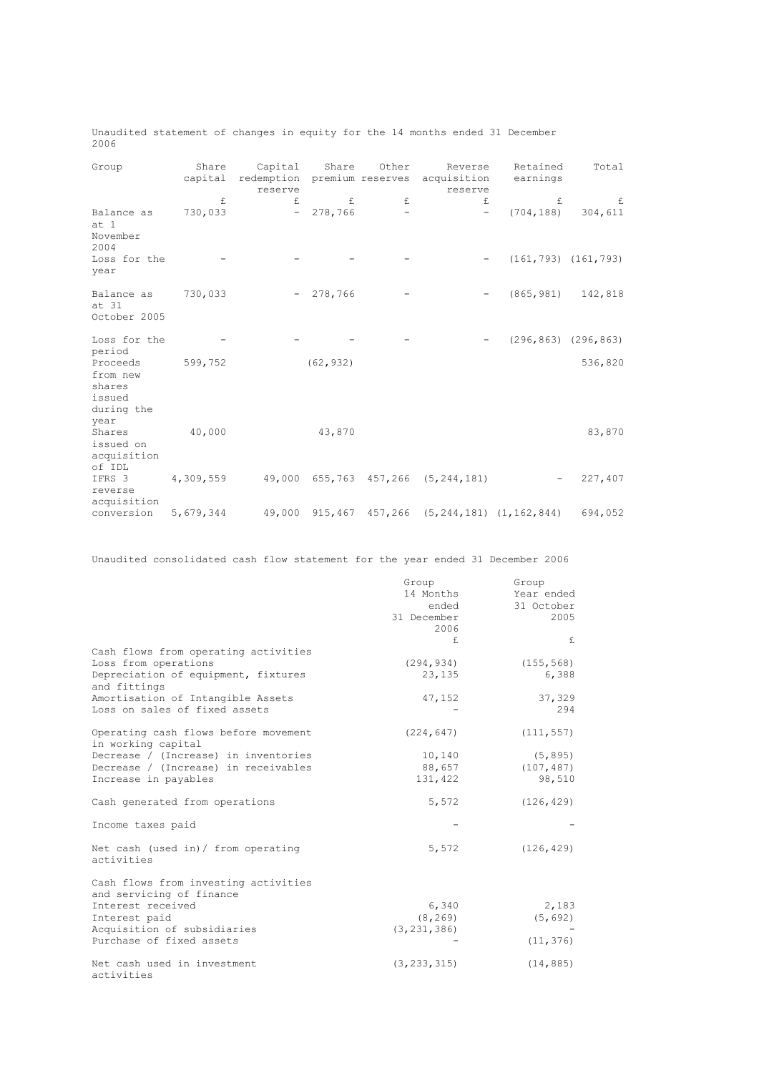|      | Unaudited statement of changes in equity for the 14 months ended 31 December |  |  |  |  |  |  |
|------|------------------------------------------------------------------------------|--|--|--|--|--|--|
| 2006 |                                                                              |  |  |  |  |  |  |

| Group                                                  | Share     | Capital                                | Share      | Other                    | Reverse                                        | Retained   | Total                     |
|--------------------------------------------------------|-----------|----------------------------------------|------------|--------------------------|------------------------------------------------|------------|---------------------------|
|                                                        | capital   | redemption premium reserves<br>reserve |            |                          | acquisition<br>reserve                         | earnings   |                           |
|                                                        | £         | $f_{1}$                                | f.         | £                        | $f_{1}$                                        | f.         | £                         |
| Balance as<br>at 1<br>November<br>2004                 | 730,033   |                                        | $-278,766$ | $\overline{\phantom{a}}$ | $\overline{\phantom{a}}$                       | (704, 188) | 304,611                   |
| Loss for the<br>year                                   |           |                                        |            |                          |                                                |            | $(161, 793)$ $(161, 793)$ |
| Balance as<br>at 31<br>October 2005                    | 730,033   |                                        | $-278,766$ |                          |                                                | (865, 981) | 142,818                   |
|                                                        |           |                                        |            |                          |                                                |            |                           |
| Loss for the<br>period                                 |           |                                        |            |                          |                                                |            | $(296, 863)$ $(296, 863)$ |
| Proceeds<br>from new<br>shares<br>issued<br>during the | 599,752   |                                        | (62, 932)  |                          |                                                |            | 536,820                   |
| year                                                   |           |                                        |            |                          |                                                |            |                           |
| Shares<br>issued on<br>acquisition                     | 40,000    |                                        | 43,870     |                          |                                                |            | 83,870                    |
| of IDL<br>IFRS 3<br>reverse                            | 4,309,559 |                                        |            |                          | 49,000 655,763 457,266 (5,244,181)             |            | 227,407                   |
| acquisition                                            |           |                                        |            |                          |                                                |            |                           |
| conversion                                             | 5,679,344 |                                        |            |                          | 49,000 915,467 457,266 (5,244,181) (1,162,844) |            | 694,052                   |

Unaudited consolidated cash flow statement for the year ended 31 December 2006

|                                                                                                                     | Group<br>14 Months<br>ended<br>31 December<br>2006 | Group<br>Year ended<br>31 October<br>2005 |
|---------------------------------------------------------------------------------------------------------------------|----------------------------------------------------|-------------------------------------------|
|                                                                                                                     | f.                                                 | f.                                        |
| Cash flows from operating activities<br>Loss from operations<br>Depreciation of equipment, fixtures<br>and fittings | (294, 934)<br>23,135                               | (155, 568)<br>6,388                       |
| Amortisation of Intangible Assets<br>Loss on sales of fixed assets                                                  | 47,152                                             | 37,329<br>294                             |
| Operating cash flows before movement<br>in working capital                                                          | (224, 647)                                         | (111, 557)                                |
| Decrease / (Increase) in inventories<br>Decrease / (Increase) in receivables<br>Increase in payables                | 10,140<br>88,657<br>131,422                        | (5, 895)<br>(107, 487)<br>98,510          |
| Cash generated from operations                                                                                      | 5,572                                              | (126, 429)                                |
| Income taxes paid                                                                                                   |                                                    |                                           |
| Net cash (used in) / from operating<br>activities                                                                   | 5,572                                              | (126, 429)                                |
| Cash flows from investing activities<br>and servicing of finance                                                    |                                                    |                                           |
| Interest received<br>Interest paid<br>Acquisition of subsidiaries                                                   | 6,340<br>(8, 269)<br>(3, 231, 386)                 | 2,183<br>(5, 692)                         |
| Purchase of fixed assets                                                                                            |                                                    | (11, 376)                                 |
| Net cash used in investment<br>activities                                                                           | (3, 233, 315)                                      | (14, 885)                                 |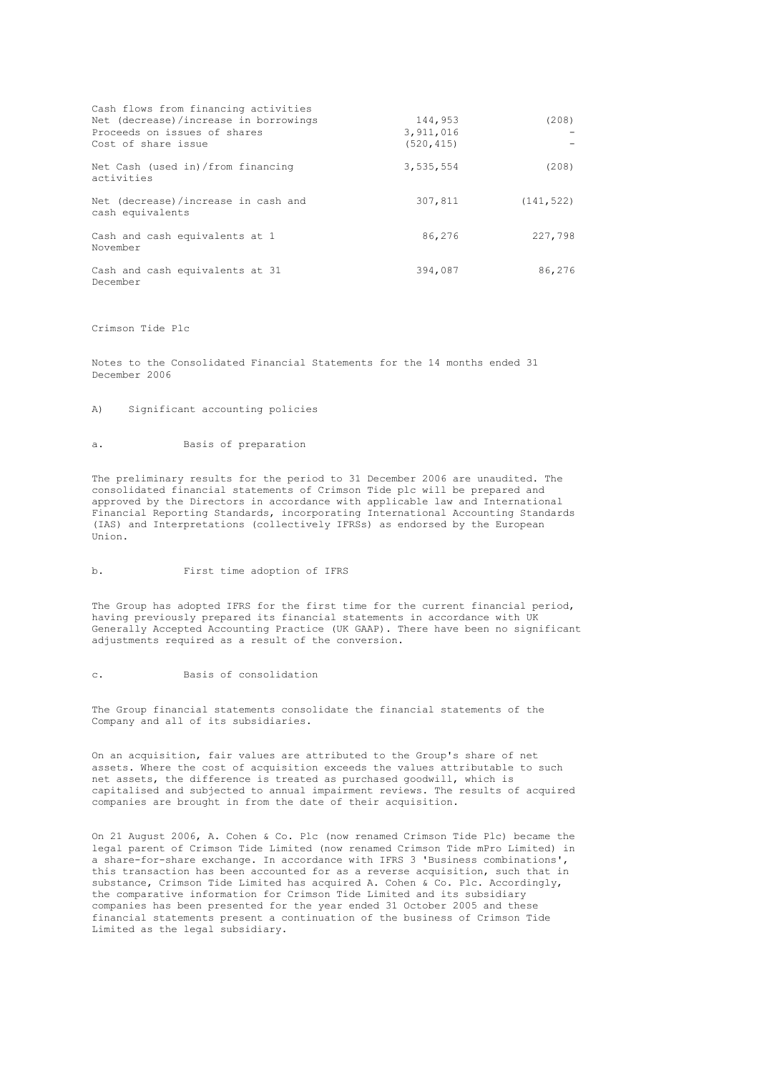| Cash flows from financing activities                    |            |            |
|---------------------------------------------------------|------------|------------|
| Net (decrease)/increase in borrowings                   | 144,953    | (208)      |
| Proceeds on issues of shares                            | 3,911,016  |            |
| Cost of share issue                                     | (520, 415) |            |
| Net Cash (used in) / from financing<br>activities       | 3,535,554  | (208)      |
| Net (decrease)/increase in cash and<br>cash equivalents | 307,811    | (141, 522) |
| Cash and cash equivalents at 1<br>November              | 86,276     | 227,798    |
| Cash and cash equivalents at 31<br>December             | 394,087    | 86,276     |

## Crimson Tide Plc

Notes to the Consolidated Financial Statements for the 14 months ended 31 December 2006

## A) Significant accounting policies

## a. Basis of preparation

The preliminary results for the period to 31 December 2006 are unaudited. The consolidated financial statements of Crimson Tide plc will be prepared and approved by the Directors in accordance with applicable law and International Financial Reporting Standards, incorporating International Accounting Standards (IAS) and Interpretations (collectively IFRSs) as endorsed by the European Union.

#### b. First time adoption of IFRS

The Group has adopted IFRS for the first time for the current financial period, having previously prepared its financial statements in accordance with UK Generally Accepted Accounting Practice (UK GAAP). There have been no significant adjustments required as a result of the conversion.

## c. Basis of consolidation

The Group financial statements consolidate the financial statements of the Company and all of its subsidiaries.

On an acquisition, fair values are attributed to the Group's share of net assets. Where the cost of acquisition exceeds the values attributable to such net assets, the difference is treated as purchased goodwill, which is capitalised and subjected to annual impairment reviews. The results of acquired companies are brought in from the date of their acquisition.

On 21 August 2006, A. Cohen & Co. Plc (now renamed Crimson Tide Plc) became the legal parent of Crimson Tide Limited (now renamed Crimson Tide mPro Limited) in a share-for-share exchange. In accordance with IFRS 3 'Business combinations', this transaction has been accounted for as a reverse acquisition, such that in substance, Crimson Tide Limited has acquired A. Cohen & Co. Plc. Accordingly, the comparative information for Crimson Tide Limited and its subsidiary companies has been presented for the year ended 31 October 2005 and these financial statements present a continuation of the business of Crimson Tide Limited as the legal subsidiary.